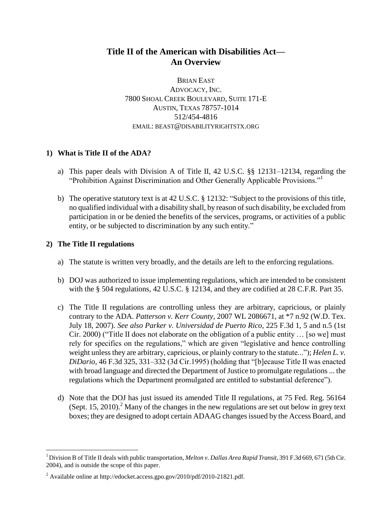# **Title II of the American with Disabilities Act— An Overview**

BRIAN EAST ADVOCACY, INC. 7800 SHOAL CREEK BOULEVARD, SUITE 171-E AUSTIN, TEXAS 78757-1014 512/454-4816 EMAIL: BEAST@DISABILITYRIGHTSTX.ORG

# **1) What is Title II of the ADA?**

- a) This paper deals with Division A of Title II, 42 U.S.C. §§ 12131–12134, regarding the "Prohibition Against Discrimination and Other Generally Applicable Provisions."<sup>1</sup>
- b) The operative statutory text is at 42 U.S.C.  $\S$  12132: "Subject to the provisions of this title, no qualified individual with a disability shall, by reason of such disability, be excluded from participation in or be denied the benefits of the services, programs, or activities of a public entity, or be subjected to discrimination by any such entity."

# **2) The Title II regulations**

- a) The statute is written very broadly, and the details are left to the enforcing regulations.
- b) DOJ was authorized to issue implementing regulations, which are intended to be consistent with the § 504 regulations, 42 U.S.C. § 12134, and they are codified at 28 C.F.R. Part 35.
- c) The Title II regulations are controlling unless they are arbitrary, capricious, or plainly contrary to the ADA. *Patterson v. Kerr County*, 2007 WL 2086671, at \*7 n.92 (W.D. Tex. July 18, 2007). *See also Parker v. Universidad de Puerto Rico*, 225 F.3d 1, 5 and n.5 (1st Cir. 2000) ("Title II does not elaborate on the obligation of a public entity  $\ldots$  [so we] must rely for specifics on the regulations," which are given "legislative and hence controlling weight unless they are arbitrary, capricious, or plainly contrary to the statute..."); *Helen L. v. DiDario*, 46 F.3d 325, 331–332 (3d Cir.1995) (holding that "[b]ecause Title II was enacted with broad language and directed the Department of Justice to promulgate regulations ... the regulations which the Department promulgated are entitled to substantial deference").
- d) Note that the DOJ has just issued its amended Title II regulations, at 75 Fed. Reg. 56164 (Sept. 15, 2010). Many of the changes in the new regulations are set out below in grey text boxes; they are designed to adopt certain ADAAG changes issued by the Access Board, and

<sup>1</sup>Division B of Title II deals with public transportation, *Melton v. Dallas Area Rapid Transit*, 391 F.3d 669, 671 (5th Cir. 2004), and is outside the scope of this paper.

<sup>2</sup> Available online at http://edocket.access.gpo.gov/2010/pdf/2010-21821.pdf.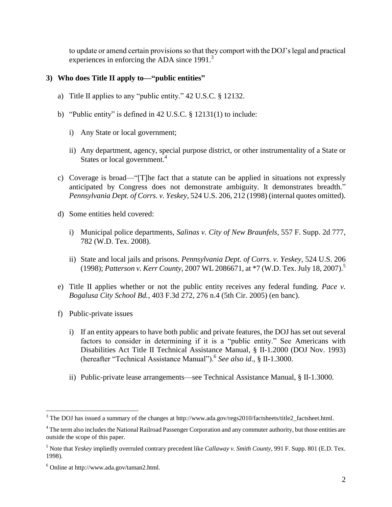to update or amend certain provisions so that they comport with the DOJ's legal and practical experiences in enforcing the ADA since 1991.<sup>3</sup>

# **3) Who does Title II apply to—"public entities"**

- a) Title II applies to any "public entity."  $42 \text{ U.S.C.}$  § 12132.
- b) "Public entity" is defined in 42 U.S.C.  $\S$  12131(1) to include:
	- i) Any State or local government;
	- ii) Any department, agency, special purpose district, or other instrumentality of a State or States or local government. 4
- c) Coverage is broad—" $[T]$ he fact that a statute can be applied in situations not expressly anticipated by Congress does not demonstrate ambiguity. It demonstrates breadth." *Pennsylvania Dept. of Corrs. v. Yeskey*, 524 U.S. 206, 212 (1998) (internal quotes omitted).
- d) Some entities held covered:
	- i) Municipal police departments, *Salinas v. City of New Braunfels*, 557 F. Supp. 2d 777, 782 (W.D. Tex. 2008).
	- ii) State and local jails and prisons. *Pennsylvania Dept. of Corrs. v. Yeskey*, 524 U.S. 206 (1998); *Patterson v. Kerr County*, 2007 WL 2086671, at \*7 (W.D. Tex. July 18, 2007).<sup>5</sup>
- e) Title II applies whether or not the public entity receives any federal funding. *Pace v. Bogalusa City School Bd.*, 403 F.3d 272, 276 n.4 (5th Cir. 2005) (en banc).
- f) Public-private issues
	- i) If an entity appears to have both public and private features, the DOJ has set out several factors to consider in determining if it is a "public entity." See Americans with Disabilities Act Title II Technical Assistance Manual, § II-1.2000 (DOJ Nov. 1993) (hereafter ―Technical Assistance Manual‖).<sup>6</sup> *See also id*., § II-1.3000.
	- ii) Public-private lease arrangements—see Technical Assistance Manual, § II-1.3000.

<sup>&</sup>lt;sup>3</sup> The DOJ has issued a summary of the changes at http://www.ada.gov/regs2010/factsheets/title2\_factsheet.html.

<sup>&</sup>lt;sup>4</sup> The term also includes the National Railroad Passenger Corporation and any commuter authority, but those entities are outside the scope of this paper.

<sup>5</sup> Note that *Yeskey* impliedly overruled contrary precedent like *Callaway v. Smith County*, 991 F. Supp. 801 (E.D. Tex. 1998).

<sup>6</sup> Online at http://www.ada.gov/taman2.html.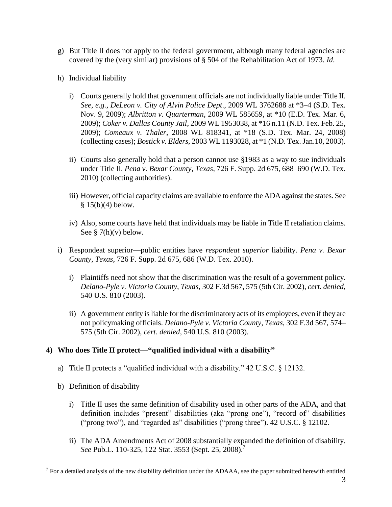- g) But Title II does not apply to the federal government, although many federal agencies are covered by the (very similar) provisions of § 504 of the Rehabilitation Act of 1973. *Id*.
- h) Individual liability
	- i) Courts generally hold that government officials are not individually liable under Title II. *See, e.g., DeLeon v. City of Alvin Police Dept*., 2009 WL 3762688 at \*3–4 (S.D. Tex. Nov. 9, 2009); *Albritton v. Quarterman*, 2009 WL 585659, at \*10 (E.D. Tex. Mar. 6, 2009); *Coker v. Dallas County Jail*, 2009 WL 1953038, at \*16 n.11 (N.D. Tex. Feb. 25, 2009); *Comeaux v. Thaler*, 2008 WL 818341, at \*18 (S.D. Tex. Mar. 24, 2008) (collecting cases); *Bostick v. Elders*, 2003 WL 1193028, at \*1 (N.D. Tex. Jan.10, 2003).
	- ii) Courts also generally hold that a person cannot use §1983 as a way to sue individuals under Title II. *Pena v. Bexar County, Texas*, 726 F. Supp. 2d 675, 688–690 (W.D. Tex. 2010) (collecting authorities).
	- iii) However, official capacity claims are available to enforce the ADA against the states. See  $§$  15(b)(4) below.
	- iv) Also, some courts have held that individuals may be liable in Title II retaliation claims. See  $\S$  7(h)(v) below.
- i) Respondeat superior—public entities have *respondeat superior* liability. *Pena v. Bexar County, Texas*, 726 F. Supp. 2d 675, 686 (W.D. Tex. 2010).
	- i) Plaintiffs need not show that the discrimination was the result of a government policy. *Delano-Pyle v. Victoria County, Texas*, 302 F.3d 567, 575 (5th Cir. 2002), *cert. denied*, 540 U.S. 810 (2003).
	- ii) A government entity is liable for the discriminatory acts of its employees, even if they are not policymaking officials. *Delano-Pyle v. Victoria County, Texas*, 302 F.3d 567, 574– 575 (5th Cir. 2002), *cert. denied*, 540 U.S. 810 (2003).

# **4) Who does Title II protect—"qualified individual with a disability"**

- a) Title II protects a "qualified individual with a disability."  $42 \text{ U.S.C.}$  § 12132.
- b) Definition of disability

- i) Title II uses the same definition of disability used in other parts of the ADA, and that definition includes "present" disabilities (aka "prong one"), "record of" disabilities ("prong two"), and "regarded as" disabilities ("prong three"). 42 U.S.C. § 12102.
- ii) The ADA Amendments Act of 2008 substantially expanded the definition of disability. *See* Pub.L. 110-325, 122 Stat. 3553 (Sept. 25, 2008).<sup>7</sup>

 $<sup>7</sup>$  For a detailed analysis of the new disability definition under the ADAAA, see the paper submitted herewith entitled</sup>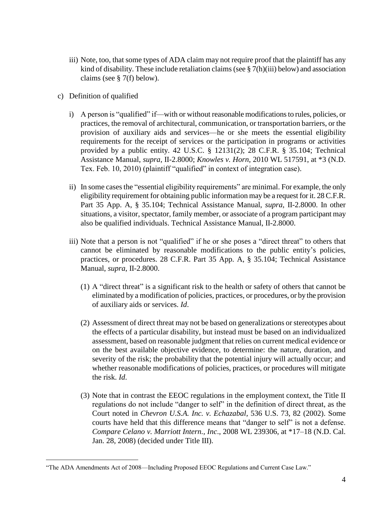- iii) Note, too, that some types of ADA claim may not require proof that the plaintiff has any kind of disability. These include retaliation claims (see § 7(h)(iii) below) and association claims (see § 7(f) below).
- c) Definition of qualified

- i) A person is "qualified" if—with or without reasonable modifications to rules, policies, or practices, the removal of architectural, communication, or transportation barriers, or the provision of auxiliary aids and services—he or she meets the essential eligibility requirements for the receipt of services or the participation in programs or activities provided by a public entity. 42 U.S.C. § 12131(2); 28 C.F.R. § 35.104; Technical Assistance Manual, *supra*, II-2.8000; *Knowles v. Horn*, 2010 WL 517591, at \*3 (N.D. Tex. Feb. 10, 2010) (plaintiff "qualified" in context of integration case).
- ii) In some cases the "essential eligibility requirements" are minimal. For example, the only eligibility requirement for obtaining public information may be a request for it. 28 C.F.R. Part 35 App. A, § 35.104; Technical Assistance Manual, *supra*, II-2.8000. In other situations, a visitor, spectator, family member, or associate of a program participant may also be qualified individuals. Technical Assistance Manual, II-2.8000.
- iii) Note that a person is not "qualified" if he or she poses a "direct threat" to others that cannot be eliminated by reasonable modifications to the public entity's policies, practices, or procedures. 28 C.F.R. Part 35 App. A, § 35.104; Technical Assistance Manual, *supra*, II-2.8000.
	- $(1)$  A "direct threat" is a significant risk to the health or safety of others that cannot be eliminated by a modification of policies, practices, or procedures, or by the provision of auxiliary aids or services. *Id*.
	- (2) Assessment of direct threat may not be based on generalizations or stereotypes about the effects of a particular disability, but instead must be based on an individualized assessment, based on reasonable judgment that relies on current medical evidence or on the best available objective evidence, to determine: the nature, duration, and severity of the risk; the probability that the potential injury will actually occur; and whether reasonable modifications of policies, practices, or procedures will mitigate the risk. *Id*.
	- (3) Note that in contrast the EEOC regulations in the employment context, the Title II regulations do not include "danger to self" in the definition of direct threat, as the Court noted in *Chevron U.S.A. Inc. v. Echazabal*, 536 U.S. 73, 82 (2002). Some courts have held that this difference means that "danger to self" is not a defense. *Compare Celano v. Marriott Intern., Inc*., 2008 WL 239306, at \*17–18 (N.D. Cal. Jan. 28, 2008) (decided under Title III).

<sup>&</sup>quot;The ADA Amendments Act of 2008—Including Proposed EEOC Regulations and Current Case Law."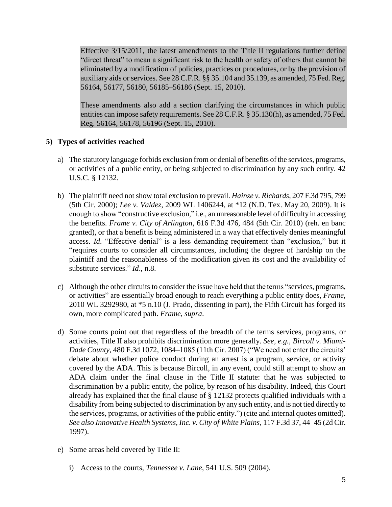Effective 3/15/2011, the latest amendments to the Title II regulations further define "direct threat" to mean a significant risk to the health or safety of others that cannot be eliminated by a modification of policies, practices or procedures, or by the provision of auxiliary aids or services. See 28 C.F.R. §§ 35.104 and 35.139, as amended, 75 Fed. Reg. 56164, 56177, 56180, 56185–56186 (Sept. 15, 2010).

These amendments also add a section clarifying the circumstances in which public entities can impose safety requirements. See 28 C.F.R. § 35.130(h), as amended, 75 Fed. Reg. 56164, 56178, 56196 (Sept. 15, 2010).

# **5) Types of activities reached**

- a) The statutory language forbids exclusion from or denial of benefits of the services, programs, or activities of a public entity, or being subjected to discrimination by any such entity. 42 U.S.C. § 12132.
- b) The plaintiff need not show total exclusion to prevail. *Hainze v. Richards*, 207 F.3d 795, 799 (5th Cir. 2000); *Lee v. Valdez*, 2009 WL 1406244, at \*12 (N.D. Tex. May 20, 2009). It is enough to show "constructive exclusion," *i.e.*, an unreasonable level of difficulty in accessing the benefits. *Frame v. City of Arlington*, 616 F.3d 476, 484 (5th Cir. 2010) (reh. en banc granted), or that a benefit is being administered in a way that effectively denies meaningful access. *Id.* "Effective denial" is a less demanding requirement than "exclusion," but it "requires courts to consider all circumstances, including the degree of hardship on the plaintiff and the reasonableness of the modification given its cost and the availability of substitute services." *Id.*, n.8.
- c) Although the other circuits to consider the issue have held that the terms "services, programs, or activities" are essentially broad enough to reach everything a public entity does, *Frame*, 2010 WL 3292980, at \*5 n.10 (J. Prado, dissenting in part), the Fifth Circuit has forged its own, more complicated path. *Frame*, *supra*.
- d) Some courts point out that regardless of the breadth of the terms services, programs, or activities, Title II also prohibits discrimination more generally. *See, e.g., Bircoll v. Miami-Dade County*, 480 F.3d 1072, 1084–1085 (11th Cir. 2007) ("We need not enter the circuits' debate about whether police conduct during an arrest is a program, service, or activity covered by the ADA. This is because Bircoll, in any event, could still attempt to show an ADA claim under the final clause in the Title II statute: that he was subjected to discrimination by a public entity, the police, by reason of his disability. Indeed, this Court already has explained that the final clause of § 12132 protects qualified individuals with a disability from being subjected to discrimination by any such entity, and is not tied directly to the services, programs, or activities of the public entity.") (cite and internal quotes omitted). *See also Innovative Health Systems, Inc. v. City of White Plains*, 117 F.3d 37, 44–45 (2d Cir. 1997).
- e) Some areas held covered by Title II:
	- i) Access to the courts, *Tennessee v. Lane*, 541 U.S. 509 (2004).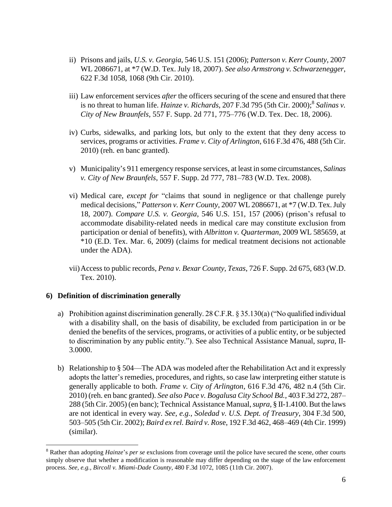- ii) Prisons and jails, *U.S. v. Georgia*, 546 U.S. 151 (2006); *Patterson v. Kerr County*, 2007 WL 2086671, at \*7 (W.D. Tex. July 18, 2007). *See also Armstrong v. Schwarzenegger*, 622 F.3d 1058, 1068 (9th Cir. 2010).
- iii) Law enforcement services *after* the officers securing of the scene and ensured that there is no threat to human life. *Hainze v. Richards*, 207 F.3d 795 (5th Cir. 2000); 8 *Salinas v. City of New Braunfels*, 557 F. Supp. 2d 771, 775–776 (W.D. Tex. Dec. 18, 2006).
- iv) Curbs, sidewalks, and parking lots, but only to the extent that they deny access to services, programs or activities. *Frame v. City of Arlington*, 616 F.3d 476, 488 (5th Cir. 2010) (reh. en banc granted).
- v) Municipality's 911 emergency response services, at least in some circumstances, *Salinas v. City of New Braunfels*, 557 F. Supp. 2d 777, 781–783 (W.D. Tex. 2008).
- vi) Medical care, *except for* "claims that sound in negligence or that challenge purely medical decisions," *Patterson v. Kerr County*, 2007 WL 2086671, at \*7 (W.D. Tex. July 18, 2007). *Compare U.S. v. Georgia*, 546 U.S. 151, 157 (2006) (prison's refusal to accommodate disability-related needs in medical care may constitute exclusion from participation or denial of benefits), with *Albritton v. Quarterman*, 2009 WL 585659, at \*10 (E.D. Tex. Mar. 6, 2009) (claims for medical treatment decisions not actionable under the ADA).
- vii)Access to public records, *Pena v. Bexar County, Texas*, 726 F. Supp. 2d 675, 683 (W.D. Tex. 2010).

#### **6) Definition of discrimination generally**

- a) Prohibition against discrimination generally.  $28$  C.F.R. § 35.130(a) ("No qualified individual with a disability shall, on the basis of disability, be excluded from participation in or be denied the benefits of the services, programs, or activities of a public entity, or be subjected to discrimination by any public entity.‖). See also Technical Assistance Manual, *supra*, II-3.0000.
- b) Relationship to § 504—The ADA was modeled after the Rehabilitation Act and it expressly adopts the latter's remedies, procedures, and rights, so case law interpreting either statute is generally applicable to both. *Frame v. City of Arlington*, 616 F.3d 476, 482 n.4 (5th Cir. 2010) (reh. en banc granted). *See also Pace v. Bogalusa City School Bd.*, 403 F.3d 272, 287– 288 (5th Cir. 2005) (en banc); Technical Assistance Manual, *supra*, § II-1.4100. But the laws are not identical in every way. *See, e.g., Soledad v. U.S. Dept. of Treasury*, 304 F.3d 500, 503–505 (5th Cir. 2002); *Baird ex rel. Baird v. Ros*e, 192 F.3d 462, 468–469 (4th Cir. 1999) (similar).

<sup>8</sup> Rather than adopting *Hainze*'s *per se* exclusions from coverage until the police have secured the scene, other courts simply observe that whether a modification is reasonable may differ depending on the stage of the law enforcement process. *See, e.g., Bircoll v. Miami-Dade County*, 480 F.3d 1072, 1085 (11th Cir. 2007).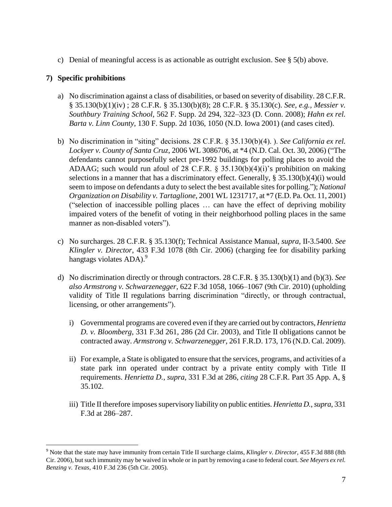c) Denial of meaningful access is as actionable as outright exclusion. See § 5(b) above.

# **7) Specific prohibitions**

- a) No discrimination against a class of disabilities, or based on severity of disability. 28 C.F.R. § 35.130(b)(1)(iv) ; 28 C.F.R. § 35.130(b)(8); 28 C.F.R. § 35.130(c). *See, e.g., Messier v. Southbury Training School*, 562 F. Supp. 2d 294, 322–323 (D. Conn. 2008); *Hahn ex rel. Barta v. Linn County*, 130 F. Supp. 2d 1036, 1050 (N.D. Iowa 2001) (and cases cited).
- b) No discrimination in "siting" decisions. 28 C.F.R. § 35.130(b)(4). ). *See California ex rel. Lockyer v. County of Santa Cruz*, 2006 WL 3086706, at \*4 (N.D. Cal. Oct. 30, 2006) ("The defendants cannot purposefully select pre-1992 buildings for polling places to avoid the ADAAG; such would run afoul of 28 C.F.R.  $\S$  35.130(b)(4)(i)'s prohibition on making selections in a manner that has a discriminatory effect. Generally, § 35.130(b)(4)(i) would seem to impose on defendants a duty to select the best available sites for polling."); *National Organization on Disability v. Tartaglione*, 2001 WL 1231717, at \*7 (E.D. Pa. Oct. 11, 2001) ("selection of inaccessible polling places  $\ldots$  can have the effect of depriving mobility impaired voters of the benefit of voting in their neighborhood polling places in the same manner as non-disabled voters").
- c) No surcharges. 28 C.F.R. § 35.130(f); Technical Assistance Manual, *supra*, II-3.5400. *See Klingler v. Director*, 433 F.3d 1078 (8th Cir. 2006) (charging fee for disability parking hangtags violates ADA).<sup>9</sup>
- d) No discrimination directly or through contractors. 28 C.F.R. § 35.130(b)(1) and (b)(3). *See also Armstrong v. Schwarzenegger*, 622 F.3d 1058, 1066–1067 (9th Cir. 2010) (upholding validity of Title II regulations barring discrimination "directly, or through contractual, licensing, or other arrangements".
	- i) Governmental programs are covered even if they are carried out by contractors, *Henrietta D. v. Bloomberg*, 331 F.3d 261, 286 (2d Cir. 2003), and Title II obligations cannot be contracted away. *Armstrong v. Schwarzenegger*, 261 F.R.D. 173, 176 (N.D. Cal. 2009).
	- ii) For example, a State is obligated to ensure that the services, programs, and activities of a state park inn operated under contract by a private entity comply with Title II requirements. *Henrietta D.*, *supra*, 331 F.3d at 286, *citing* 28 C.F.R. Part 35 App. A, § 35.102.
	- iii) Title II therefore imposessupervisory liability on public entities. *Henrietta D.*, *supra*, 331 F.3d at 286–287.

<sup>9</sup> Note that the state may have immunity from certain Title II surcharge claims, *Klingler v. Director*, 455 F.3d 888 (8th Cir. 2006), but such immunity may be waived in whole or in part by removing a case to federal court. *See Meyers ex rel. Benzing v. Texas*, 410 F.3d 236 (5th Cir. 2005).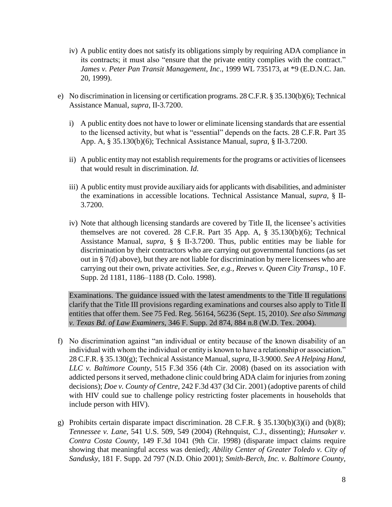- iv) A public entity does not satisfy its obligations simply by requiring ADA compliance in its contracts; it must also "ensure that the private entity complies with the contract." *James v. Peter Pan Transit Management, Inc*., 1999 WL 735173, at \*9 (E.D.N.C. Jan. 20, 1999).
- e) No discrimination in licensing or certification programs. 28 C.F.R. § 35.130(b)(6); Technical Assistance Manual, *supra*, II-3.7200.
	- i) A public entity does not have to lower or eliminate licensing standards that are essential to the licensed activity, but what is "essential" depends on the facts. 28 C.F.R. Part 35 App. A, § 35.130(b)(6); Technical Assistance Manual, *supra*, § II-3.7200.
	- ii) A public entity may not establish requirements for the programs or activities of licensees that would result in discrimination. *Id*.
	- iii) A public entity must provide auxiliary aids for applicants with disabilities, and administer the examinations in accessible locations. Technical Assistance Manual, *supra*, § II-3.7200.
	- iv) Note that although licensing standards are covered by Title II, the licensee's activities themselves are not covered. 28 C.F.R. Part 35 App. A, § 35.130(b)(6); Technical Assistance Manual, *supra*, § § II-3.7200. Thus, public entities may be liable for discrimination by their contractors who are carrying out governmental functions (as set out in § 7(d) above), but they are not liable for discrimination by mere licensees who are carrying out their own, private activities. *See, e.g., Reeves v. Queen City Transp*., 10 F. Supp. 2d 1181, 1186–1188 (D. Colo. 1998).

Examinations. The guidance issued with the latest amendments to the Title II regulations clarify that the Title III provisions regarding examinations and courses also apply to Title II entities that offer them. See 75 Fed. Reg. 56164, 56236 (Sept. 15, 2010). *See also Simmang v. Texas Bd. of Law Examiners*, 346 F. Supp. 2d 874, 884 n.8 (W.D. Tex. 2004).

- f) No discrimination against "an individual or entity because of the known disability of an individual with whom the individual or entity is known to have a relationship or association." 28 C.F.R. § 35.130(g); Technical Assistance Manual, *supra*, II-3.9000. *See A Helping Hand, LLC v. Baltimore County*, 515 F.3d 356 (4th Cir. 2008) (based on its association with addicted persons it served, methadone clinic could bring ADA claim for injuries from zoning decisions); *Doe v. County of Centre*, 242 F.3d 437 (3d Cir. 2001) (adoptive parents of child with HIV could sue to challenge policy restricting foster placements in households that include person with HIV).
- g) Prohibits certain disparate impact discrimination. 28 C.F.R. § 35.130(b)(3)(i) and (b)(8); *Tennessee v. Lane*, 541 U.S. 509, 549 (2004) (Rehnquist, C.J., dissenting); *Hunsaker v. Contra Costa County*, 149 F.3d 1041 (9th Cir. 1998) (disparate impact claims require showing that meaningful access was denied); *Ability Center of Greater Toledo v. City of Sandusky*, 181 F. Supp. 2d 797 (N.D. Ohio 2001); *Smith-Berch, Inc. v. Baltimore County,*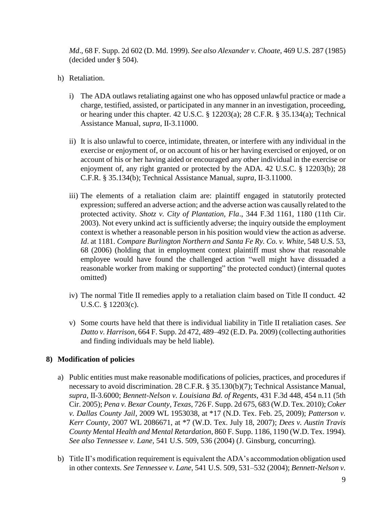*Md*., 68 F. Supp. 2d 602 (D. Md. 1999). *See also Alexander v. Choate*, 469 U.S. 287 (1985) (decided under § 504).

- h) Retaliation.
	- i) The ADA outlaws retaliating against one who has opposed unlawful practice or made a charge, testified, assisted, or participated in any manner in an investigation, proceeding, or hearing under this chapter. 42 U.S.C. § 12203(a); 28 C.F.R. § 35.134(a); Technical Assistance Manual, *supra*, II-3.11000.
	- ii) It is also unlawful to coerce, intimidate, threaten, or interfere with any individual in the exercise or enjoyment of, or on account of his or her having exercised or enjoyed, or on account of his or her having aided or encouraged any other individual in the exercise or enjoyment of, any right granted or protected by the ADA. 42 U.S.C. § 12203(b); 28 C.F.R. § 35.134(b); Technical Assistance Manual, *supra*, II-3.11000.
	- iii) The elements of a retaliation claim are: plaintiff engaged in statutorily protected expression; suffered an adverse action; and the adverse action was causally related to the protected activity. *Shotz v. City of Plantation, Fla*., 344 F.3d 1161, 1180 (11th Cir. 2003). Not every unkind act is sufficiently adverse; the inquiry outside the employment context is whether a reasonable person in his position would view the action as adverse. *Id*. at 1181. *Compare Burlington Northern and Santa Fe Ry. Co. v. White*, 548 U.S. 53, 68 (2006) (holding that in employment context plaintiff must show that reasonable employee would have found the challenged action "well might have dissuaded a reasonable worker from making or supporting" the protected conduct) (internal quotes omitted)
	- iv) The normal Title II remedies apply to a retaliation claim based on Title II conduct. 42 U.S.C. § 12203(c).
	- v) Some courts have held that there is individual liability in Title II retaliation cases. *See Datto v. Harrison*, 664 F. Supp. 2d 472, 489–492 (E.D. Pa. 2009) (collecting authorities and finding individuals may be held liable).

### **8) Modification of policies**

- a) Public entities must make reasonable modifications of policies, practices, and procedures if necessary to avoid discrimination. 28 C.F.R. § 35.130(b)(7); Technical Assistance Manual, *supra*, II-3.6000; *Bennett-Nelson v. Louisiana Bd. of Regents*, 431 F.3d 448, 454 n.11 (5th Cir. 2005); *Pena v. Bexar County, Texas*, 726 F. Supp. 2d 675, 683 (W.D. Tex. 2010); *Coker v. Dallas County Jail*, 2009 WL 1953038, at \*17 (N.D. Tex. Feb. 25, 2009); *Patterson v. Kerr County*, 2007 WL 2086671, at \*7 (W.D. Tex. July 18, 2007); *Dees v. Austin Travis County Mental Health and Mental Retardation*, 860 F. Supp. 1186, 1190 (W.D. Tex. 1994). *See also Tennessee v. Lane*, 541 U.S. 509, 536 (2004) (J. Ginsburg, concurring).
- b) Title II's modification requirement is equivalent the ADA's accommodation obligation used in other contexts. *See Tennessee v. Lane*, 541 U.S. 509, 531–532 (2004); *Bennett-Nelson v.*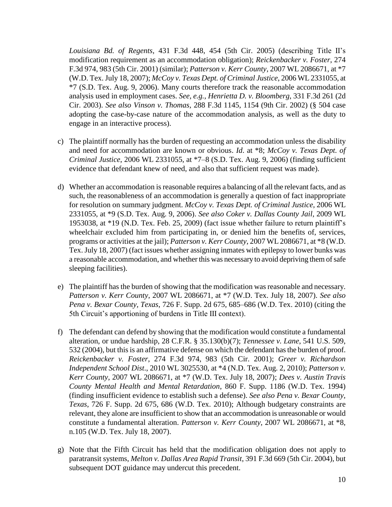*Louisiana Bd. of Regents*, 431 F.3d 448, 454 (5th Cir. 2005) (describing Title II's modification requirement as an accommodation obligation); *Reickenbacker v. Foster*, 274 F.3d 974, 983 (5th Cir. 2001) (similar); *Patterson v. Kerr County*, 2007 WL 2086671, at \*7 (W.D. Tex. July 18, 2007); *McCoy v. Texas Dept. of Criminal Justice*, 2006 WL 2331055, at \*7 (S.D. Tex. Aug. 9, 2006). Many courts therefore track the reasonable accommodation analysis used in employment cases. *See, e.g., Henrietta D. v. Bloomberg*, 331 F.3d 261 (2d Cir. 2003). *See also Vinson v. Thomas*, 288 F.3d 1145, 1154 (9th Cir. 2002) (§ 504 case adopting the case-by-case nature of the accommodation analysis, as well as the duty to engage in an interactive process).

- c) The plaintiff normally has the burden of requesting an accommodation unless the disability and need for accommodation are known or obvious. *Id*. at \*8; *McCoy v. Texas Dept. of Criminal Justice*, 2006 WL 2331055, at \*7–8 (S.D. Tex. Aug. 9, 2006) (finding sufficient evidence that defendant knew of need, and also that sufficient request was made).
- d) Whether an accommodation is reasonable requires a balancing of all the relevant facts, and as such, the reasonableness of an accommodation is generally a question of fact inappropriate for resolution on summary judgment. *McCoy v. Texas Dept. of Criminal Justice*, 2006 WL 2331055, at \*9 (S.D. Tex. Aug. 9, 2006). *See also Coker v. Dallas County Jail*, 2009 WL 1953038, at \*19 (N.D. Tex. Feb. 25, 2009) (fact issue whether failure to return plaintiff's wheelchair excluded him from participating in, or denied him the benefits of, services, programs or activities at the jail); *Patterson v. Kerr County*, 2007 WL 2086671, at \*8 (W.D. Tex. July 18, 2007) (fact issues whether assigning inmates with epilepsy to lower bunks was a reasonable accommodation, and whether this was necessary to avoid depriving them of safe sleeping facilities).
- e) The plaintiff has the burden of showing that the modification was reasonable and necessary. *Patterson v. Kerr County*, 2007 WL 2086671, at \*7 (W.D. Tex. July 18, 2007). *See also Pena v. Bexar County, Texas*, 726 F. Supp. 2d 675, 685–686 (W.D. Tex. 2010) (citing the 5th Circuit's apportioning of burdens in Title III context).
- f) The defendant can defend by showing that the modification would constitute a fundamental alteration, or undue hardship, 28 C.F.R. § 35.130(b)(7); *Tennessee v. Lane*, 541 U.S. 509, 532 (2004), but this is an affirmative defense on which the defendant has the burden of proof. *Reickenbacker v. Foster*, 274 F.3d 974, 983 (5th Cir. 2001); *Greer v. Richardson Independent School Dist*., 2010 WL 3025530, at \*4 (N.D. Tex. Aug. 2, 2010); *Patterson v. Kerr County*, 2007 WL 2086671, at \*7 (W.D. Tex. July 18, 2007); *Dees v. Austin Travis County Mental Health and Mental Retardation*, 860 F. Supp. 1186 (W.D. Tex. 1994) (finding insufficient evidence to establish such a defense). *See also Pena v. Bexar County, Texas*, 726 F. Supp. 2d 675, 686 (W.D. Tex. 2010); Although budgetary constraints are relevant, they alone are insufficient to show that an accommodation is unreasonable or would constitute a fundamental alteration. *Patterson v. Kerr County*, 2007 WL 2086671, at \*8, n.105 (W.D. Tex. July 18, 2007).
- g) Note that the Fifth Circuit has held that the modification obligation does not apply to paratransit systems, *Melton v. Dallas Area Rapid Transit*, 391 F.3d 669 (5th Cir. 2004), but subsequent DOT guidance may undercut this precedent.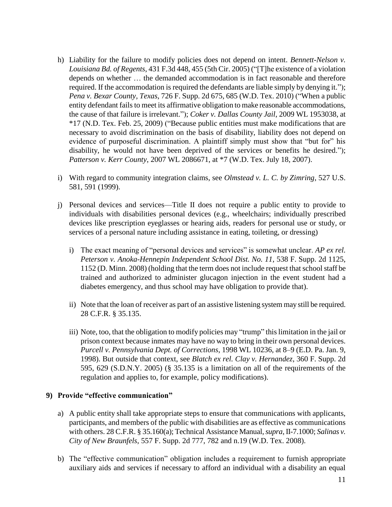- h) Liability for the failure to modify policies does not depend on intent. *Bennett-Nelson v. Louisiana Bd. of Regents*, 431 F.3d 448, 455 (5th Cir. 2005) ("T]he existence of a violation depends on whether … the demanded accommodation is in fact reasonable and therefore required. If the accommodation is required the defendants are liable simply by denying it."); *Pena v. Bexar County, Texas, 726 F. Supp. 2d 675, 685 (W.D. Tex. 2010) ("When a public* entity defendant fails to meet its affirmative obligation to make reasonable accommodations, the cause of that failure is irrelevant.‖); *Coker v. Dallas County Jail*, 2009 WL 1953038, at \*17 (N.D. Tex. Feb. 25, 2009) ("Because public entities must make modifications that are necessary to avoid discrimination on the basis of disability, liability does not depend on evidence of purposeful discrimination. A plaintiff simply must show that "but for" his disability, he would not have been deprived of the services or benefits he desired."); *Patterson v. Kerr County*, 2007 WL 2086671, at \*7 (W.D. Tex. July 18, 2007).
- i) With regard to community integration claims, see *Olmstead v. L. C. by Zimring*, 527 U.S. 581, 591 (1999).
- j) Personal devices and services—Title II does not require a public entity to provide to individuals with disabilities personal devices (e.g., wheelchairs; individually prescribed devices like prescription eyeglasses or hearing aids, readers for personal use or study, or services of a personal nature including assistance in eating, toileting, or dressing)
	- i) The exact meaning of "personal devices and services" is somewhat unclear. *AP ex rel. Peterson v. Anoka-Hennepin Independent School Dist. No. 11*, 538 F. Supp. 2d 1125, 1152 (D. Minn. 2008) (holding that the term does not include request that school staff be trained and authorized to administer glucagon injection in the event student had a diabetes emergency, and thus school may have obligation to provide that).
	- ii) Note that the loan of receiver as part of an assistive listening system may still be required. 28 C.F.R. § 35.135.
	- iii) Note, too, that the obligation to modify policies may "trump" this limitation in the jail or prison context because inmates may have no way to bring in their own personal devices. *Purcell v. Pennsylvania Dept. of Corrections*, 1998 WL 10236, at 8–9 (E.D. Pa. Jan. 9, 1998). But outside that context, see *Blatch ex rel. Clay v. Hernandez*, 360 F. Supp. 2d 595, 629 (S.D.N.Y. 2005) (§ 35.135 is a limitation on all of the requirements of the regulation and applies to, for example, policy modifications).

#### **9) Provide "effective communication"**

- a) A public entity shall take appropriate steps to ensure that communications with applicants, participants, and members of the public with disabilities are as effective as communications with others. 28 C.F.R. § 35.160(a); Technical Assistance Manual, *supra*, II-7.1000; *Salinas v. City of New Braunfels*, 557 F. Supp. 2d 777, 782 and n.19 (W.D. Tex. 2008).
- b) The "effective communication" obligation includes a requirement to furnish appropriate auxiliary aids and services if necessary to afford an individual with a disability an equal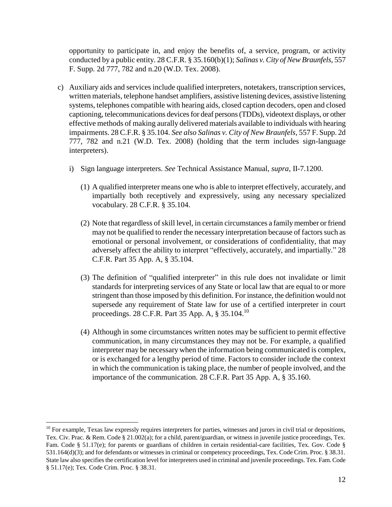opportunity to participate in, and enjoy the benefits of, a service, program, or activity conducted by a public entity. 28 C.F.R. § 35.160(b)(1); *Salinas v. City of New Braunfels*, 557 F. Supp. 2d 777, 782 and n.20 (W.D. Tex. 2008).

- c) Auxiliary aids and services include qualified interpreters, notetakers, transcription services, written materials, telephone handset amplifiers, assistive listening devices, assistive listening systems, telephones compatible with hearing aids, closed caption decoders, open and closed captioning, telecommunications devices for deaf persons (TDDs), videotext displays, or other effective methods of making aurally delivered materials available to individuals with hearing impairments. 28 C.F.R. § 35.104. *See also Salinas v. City of New Braunfels*, 557 F. Supp. 2d 777, 782 and n.21 (W.D. Tex. 2008) (holding that the term includes sign-language interpreters).
	- i) Sign language interpreters. *See* Technical Assistance Manual, *supra*, II-7.1200.
		- (1) A qualified interpreter means one who is able to interpret effectively, accurately, and impartially both receptively and expressively, using any necessary specialized vocabulary. 28 C.F.R. § 35.104.
		- (2) Note that regardless of skill level, in certain circumstances a family member or friend may not be qualified to render the necessary interpretation because of factors such as emotional or personal involvement, or considerations of confidentiality, that may adversely affect the ability to interpret "effectively, accurately, and impartially." 28 C.F.R. Part 35 App. A, § 35.104.
		- (3) The definition of "qualified interpreter" in this rule does not invalidate or limit standards for interpreting services of any State or local law that are equal to or more stringent than those imposed by this definition. For instance, the definition would not supersede any requirement of State law for use of a certified interpreter in court proceedings. 28 C.F.R. Part 35 App. A, § 35.104.<sup>10</sup>
		- (4) Although in some circumstances written notes may be sufficient to permit effective communication, in many circumstances they may not be. For example, a qualified interpreter may be necessary when the information being communicated is complex, or is exchanged for a lengthy period of time. Factors to consider include the context in which the communication is taking place, the number of people involved, and the importance of the communication. 28 C.F.R. Part 35 App. A, § 35.160.

 $10$  For example, Texas law expressly requires interpreters for parties, witnesses and jurors in civil trial or depositions, Tex. Civ. Prac. & Rem. Code § 21.002(a); for a child, parent/guardian, or witness in juvenile justice proceedings, Tex. Fam. Code § 51.17(e); for parents or guardians of children in certain residential-care facilities, Tex. Gov. Code § 531.164(d)(3); and for defendants or witnesses in criminal or competency proceedings, Tex. Code Crim. Proc. § 38.31. State law also specifies the certification level for interpreters used in criminal and juvenile proceedings. Tex. Fam. Code § 51.17(e); Tex. Code Crim. Proc. § 38.31.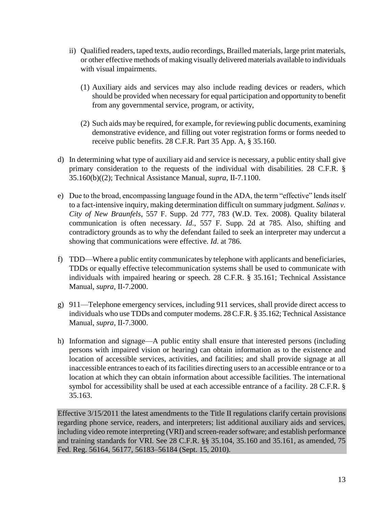- ii) Qualified readers, taped texts, audio recordings, Brailled materials, large print materials, or other effective methods of making visually delivered materials available to individuals with visual impairments.
	- (1) Auxiliary aids and services may also include reading devices or readers, which should be provided when necessary for equal participation and opportunity to benefit from any governmental service, program, or activity,
	- (2) Such aids may be required, for example, for reviewing public documents, examining demonstrative evidence, and filling out voter registration forms or forms needed to receive public benefits. 28 C.F.R. Part 35 App. A, § 35.160.
- d) In determining what type of auxiliary aid and service is necessary, a public entity shall give primary consideration to the requests of the individual with disabilities. 28 C.F.R. § 35.160(b)((2); Technical Assistance Manual, *supra*, II-7.1100.
- e) Due to the broad, encompassing language found in the ADA, the term "effective" lends itself to a fact-intensive inquiry, making determination difficult on summary judgment. *Salinas v. City of New Braunfels*, 557 F. Supp. 2d 777, 783 (W.D. Tex. 2008). Quality bilateral communication is often necessary. *Id*., 557 F. Supp. 2d at 785. Also, shifting and contradictory grounds as to why the defendant failed to seek an interpreter may undercut a showing that communications were effective. *Id*. at 786.
- f) TDD—Where a public entity communicates by telephone with applicants and beneficiaries, TDDs or equally effective telecommunication systems shall be used to communicate with individuals with impaired hearing or speech. 28 C.F.R. § 35.161; Technical Assistance Manual, *supra*, II-7.2000.
- g) 911—Telephone emergency services, including 911 services, shall provide direct access to individuals who use TDDs and computer modems. 28 C.F.R. § 35.162; Technical Assistance Manual, *supra*, II-7.3000.
- h) Information and signage—A public entity shall ensure that interested persons (including persons with impaired vision or hearing) can obtain information as to the existence and location of accessible services, activities, and facilities; and shall provide signage at all inaccessible entrances to each of its facilities directing users to an accessible entrance or to a location at which they can obtain information about accessible facilities. The international symbol for accessibility shall be used at each accessible entrance of a facility. 28 C.F.R. § 35.163.

Effective 3/15/2011 the latest amendments to the Title II regulations clarify certain provisions regarding phone service, readers, and interpreters; list additional auxiliary aids and services, including video remote interpreting (VRI) and screen-reader software; and establish performance and training standards for VRI. See 28 C.F.R. §§ 35.104, 35.160 and 35.161, as amended, 75 Fed. Reg. 56164, 56177, 56183–56184 (Sept. 15, 2010).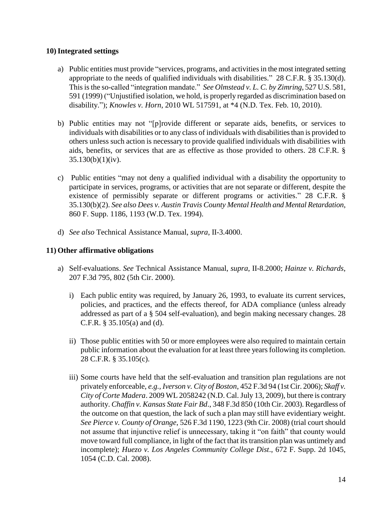### **10)Integrated settings**

- a) Public entities must provide "services, programs, and activities in the most integrated setting appropriate to the needs of qualified individuals with disabilities."  $28$  C.F.R. § 35.130(d). This is the so-called "integration mandate." *See Olmstead v. L. C. by Zimring*, 527 U.S. 581, 591 (1999) ("Unjustified isolation, we hold, is properly regarded as discrimination based on disability.‖); *Knowles v. Horn*, 2010 WL 517591, at \*4 (N.D. Tex. Feb. 10, 2010).
- b) Public entities may not "[p]rovide different or separate aids, benefits, or services to individuals with disabilities or to any class of individuals with disabilities than is provided to others unless such action is necessary to provide qualified individuals with disabilities with aids, benefits, or services that are as effective as those provided to others. 28 C.F.R. § 35.130(b)(1)(iv).
- c) Public entities "may not deny a qualified individual with a disability the opportunity to participate in services, programs, or activities that are not separate or different, despite the existence of permissibly separate or different programs or activities." 28 C.F.R. § 35.130(b)(2). *See also Dees v. Austin Travis County Mental Health and Mental Retardation*, 860 F. Supp. 1186, 1193 (W.D. Tex. 1994).
- d) *See also* Technical Assistance Manual, *supra*, II-3.4000.

### **11) Other affirmative obligations**

- a) Self-evaluations. *See* Technical Assistance Manual, *supra*, II-8.2000; *Hainze v. Richards*, 207 F.3d 795, 802 (5th Cir. 2000).
	- i) Each public entity was required, by January 26, 1993, to evaluate its current services, policies, and practices, and the effects thereof, for ADA compliance (unless already addressed as part of a § 504 self-evaluation), and begin making necessary changes. 28 C.F.R. § 35.105(a) and (d).
	- ii) Those public entities with 50 or more employees were also required to maintain certain public information about the evaluation for at least three years following its completion. 28 C.F.R. § 35.105(c).
	- iii) Some courts have held that the self-evaluation and transition plan regulations are not privately enforceable, *e.g., Iverson v. City of Boston*, 452 F.3d 94 (1st Cir. 2006); *Skaff v. City of Corte Madera*. 2009 WL 2058242 (N.D. Cal. July 13, 2009), but there is contrary authority. *Chaffin v. Kansas State Fair Bd*., 348 F.3d 850 (10th Cir. 2003). Regardless of the outcome on that question, the lack of such a plan may still have evidentiary weight. *See Pierce v. County of Orange*, 526 F.3d 1190, 1223 (9th Cir. 2008) (trial court should not assume that injunctive relief is unnecessary, taking it "on faith" that county would move toward full compliance, in light of the fact that its transition plan was untimely and incomplete); *Huezo v. Los Angeles Community College Dist*., 672 F. Supp. 2d 1045, 1054 (C.D. Cal. 2008).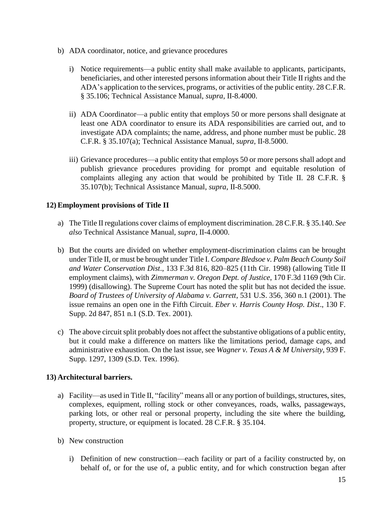- b) ADA coordinator, notice, and grievance procedures
	- i) Notice requirements—a public entity shall make available to applicants, participants, beneficiaries, and other interested persons information about their Title II rights and the ADA's application to the services, programs, or activities of the public entity. 28 C.F.R. § 35.106; Technical Assistance Manual, *supra*, II-8.4000.
	- ii) ADA Coordinator—a public entity that employs 50 or more persons shall designate at least one ADA coordinator to ensure its ADA responsibilities are carried out, and to investigate ADA complaints; the name, address, and phone number must be public. 28 C.F.R. § 35.107(a); Technical Assistance Manual, *supra*, II-8.5000.
	- iii) Grievance procedures—a public entity that employs 50 or more persons shall adopt and publish grievance procedures providing for prompt and equitable resolution of complaints alleging any action that would be prohibited by Title II. 28 C.F.R. § 35.107(b); Technical Assistance Manual, *supra*, II-8.5000.

### **12) Employment provisions of Title II**

- a) The Title II regulations cover claims of employment discrimination. 28 C.F.R. § 35.140. *See also* Technical Assistance Manual, *supra*, II-4.0000.
- b) But the courts are divided on whether employment-discrimination claims can be brought under Title II, or must be brought under Title I. *Compare Bledsoe v. Palm Beach County Soil and Water Conservation Dist*., 133 F.3d 816, 820–825 (11th Cir. 1998) (allowing Title II employment claims), with *Zimmerman v. Oregon Dept. of Justice*, 170 F.3d 1169 (9th Cir. 1999) (disallowing). The Supreme Court has noted the split but has not decided the issue. *Board of Trustees of University of Alabama v. Garrett*, 531 U.S. 356, 360 n.1 (2001). The issue remains an open one in the Fifth Circuit. *Eber v. Harris County Hosp. Dist*., 130 F. Supp. 2d 847, 851 n.1 (S.D. Tex. 2001).
- c) The above circuit split probably does not affect the substantive obligations of a public entity, but it could make a difference on matters like the limitations period, damage caps, and administrative exhaustion. On the last issue, see *Wagner v. Texas A & M University*, 939 F. Supp. 1297, 1309 (S.D. Tex. 1996).

### **13) Architectural barriers.**

- a) Facility—as used in Title II, "facility" means all or any portion of buildings, structures, sites, complexes, equipment, rolling stock or other conveyances, roads, walks, passageways, parking lots, or other real or personal property, including the site where the building, property, structure, or equipment is located. 28 C.F.R. § 35.104.
- b) New construction
	- i) Definition of new construction—each facility or part of a facility constructed by, on behalf of, or for the use of, a public entity, and for which construction began after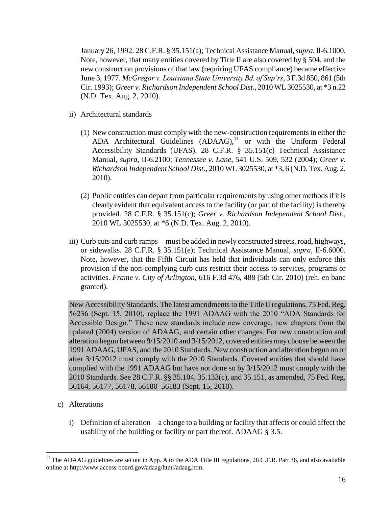January 26, 1992. 28 C.F.R. § 35.151(a); Technical Assistance Manual, *supra*, II-6.1000. Note, however, that many entities covered by Title II are also covered by § 504, and the new construction provisions of that law (requiring UFAS compliance) became effective June 3, 1977. *McGregor v. Louisiana State University Bd. of Sup'rs*, 3 F.3d 850, 861 (5th Cir. 1993); *Greer v. Richardson Independent School Dist*., 2010 WL 3025530, at \*3 n.22 (N.D. Tex. Aug. 2, 2010).

- ii) Architectural standards
	- (1) New construction must comply with the new-construction requirements in either the ADA Architectural Guidelines  $(ADAAG)$ ,<sup>11</sup> or with the Uniform Federal Accessibility Standards (UFAS). 28 C.F.R. § 35.151(c) Technical Assistance Manual, *supra*, II-6.2100; *Tennessee v. Lane*, 541 U.S. 509, 532 (2004); *Greer v. Richardson Independent School Dist*., 2010 WL 3025530, at \*3, 6 (N.D. Tex. Aug. 2, 2010).
	- (2) Public entities can depart from particular requirements by using other methods if it is clearly evident that equivalent access to the facility (or part of the facility) is thereby provided. 28 C.F.R. § 35.151(c); *Greer v. Richardson Independent School Dist*., 2010 WL 3025530, at \*6 (N.D. Tex. Aug. 2, 2010).
- iii) Curb cuts and curb ramps—must be added in newly constructed streets, road, highways, or sidewalks. 28 C.F.R. § 35.151(e); Technical Assistance Manual, *supra*, II-6.6000. Note, however, that the Fifth Circuit has held that individuals can only enforce this provision if the non-complying curb cuts restrict their access to services, programs or activities. *Frame v. City of Arlington*, 616 F.3d 476, 488 (5th Cir. 2010) (reh. en banc granted).

New Accessibility Standards. The latest amendments to the Title II regulations, 75 Fed. Reg. 56236 (Sept. 15, 2010), replace the 1991 ADAAG with the 2010 "ADA Standards for Accessible Design." These new standards include new coverage, new chapters from the updated (2004) version of ADAAG, and certain other changes. For new construction and alteration begun between 9/15/2010 and 3/15/2012, covered entities may choose between the 1991 ADAAG, UFAS, and the 2010 Standards. New construction and alteration begun on or after 3/15/2012 must comply with the 2010 Standards. Covered entities that should have complied with the 1991 ADAAG but have not done so by 3/15/2012 must comply with the 2010 Standards. See 28 C.F.R. §§ 35.104, 35.133(c), and 35.151, as amended, 75 Fed. Reg. 56164, 56177, 56178, 56180–56183 (Sept. 15, 2010).

c) Alterations

 $\overline{a}$ 

i) Definition of alteration—a change to a building or facility that affects or could affect the usability of the building or facility or part thereof. ADAAG § 3.5.

 $11$  The ADAAG guidelines are set out in App. A to the ADA Title III regulations, 28 C.F.R. Part 36, and also available online at http://www.access-board.gov/adaag/html/adaag.htm.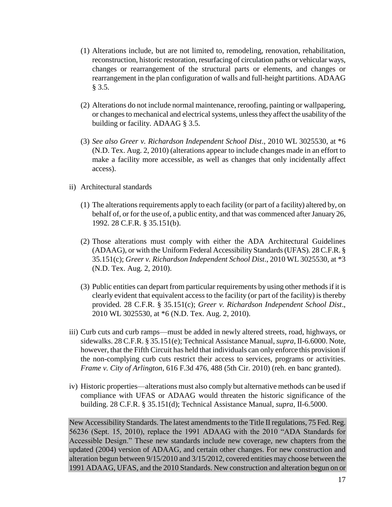- (1) Alterations include, but are not limited to, remodeling, renovation, rehabilitation, reconstruction, historic restoration, resurfacing of circulation paths or vehicular ways, changes or rearrangement of the structural parts or elements, and changes or rearrangement in the plan configuration of walls and full-height partitions. ADAAG  $§ 3.5.$
- (2) Alterations do not include normal maintenance, reroofing, painting or wallpapering, or changes to mechanical and electrical systems, unless they affect the usability of the building or facility. ADAAG § 3.5.
- (3) *See also Greer v. Richardson Independent School Dist*., 2010 WL 3025530, at \*6 (N.D. Tex. Aug. 2, 2010) (alterations appear to include changes made in an effort to make a facility more accessible, as well as changes that only incidentally affect access).
- ii) Architectural standards
	- (1) The alterations requirements apply to each facility (or part of a facility) altered by, on behalf of, or for the use of, a public entity, and that was commenced after January 26, 1992. 28 C.F.R. § 35.151(b).
	- (2) Those alterations must comply with either the ADA Architectural Guidelines (ADAAG), or with the Uniform Federal Accessibility Standards (UFAS). 28 C.F.R. § 35.151(c); *Greer v. Richardson Independent School Dist*., 2010 WL 3025530, at \*3 (N.D. Tex. Aug. 2, 2010).
	- (3) Public entities can depart from particular requirements by using other methods if it is clearly evident that equivalent access to the facility (or part of the facility) is thereby provided. 28 C.F.R. § 35.151(c); *Greer v. Richardson Independent School Dist*., 2010 WL 3025530, at \*6 (N.D. Tex. Aug. 2, 2010).
- iii) Curb cuts and curb ramps—must be added in newly altered streets, road, highways, or sidewalks. 28 C.F.R. § 35.151(e); Technical Assistance Manual, *supra*, II-6.6000. Note, however, that the Fifth Circuit has held that individuals can only enforce this provision if the non-complying curb cuts restrict their access to services, programs or activities. *Frame v. City of Arlington*, 616 F.3d 476, 488 (5th Cir. 2010) (reh. en banc granted).
- iv) Historic properties—alterations must also comply but alternative methods can be used if compliance with UFAS or ADAAG would threaten the historic significance of the building. 28 C.F.R. § 35.151(d); Technical Assistance Manual, *supra*, II-6.5000.

New Accessibility Standards. The latest amendments to the Title II regulations, 75 Fed. Reg. 56236 (Sept. 15, 2010), replace the 1991 ADAAG with the 2010 "ADA Standards for Accessible Design." These new standards include new coverage, new chapters from the updated (2004) version of ADAAG, and certain other changes. For new construction and alteration begun between 9/15/2010 and 3/15/2012, covered entities may choose between the 1991 ADAAG, UFAS, and the 2010 Standards. New construction and alteration begun on or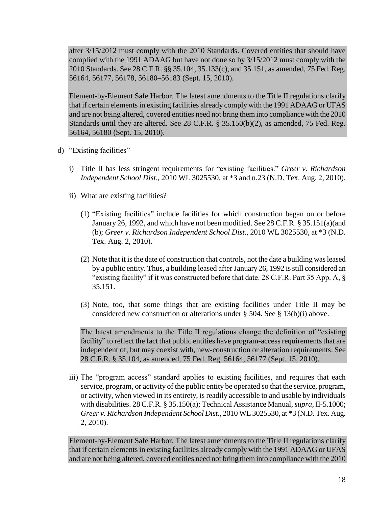after 3/15/2012 must comply with the 2010 Standards. Covered entities that should have complied with the 1991 ADAAG but have not done so by 3/15/2012 must comply with the 2010 Standards. See 28 C.F.R. §§ 35.104, 35.133(c), and 35.151, as amended, 75 Fed. Reg. 56164, 56177, 56178, 56180–56183 (Sept. 15, 2010).

Element-by-Element Safe Harbor. The latest amendments to the Title II regulations clarify that if certain elements in existing facilities already comply with the 1991 ADAAG or UFAS and are not being altered, covered entities need not bring them into compliance with the 2010 Standards until they are altered. See 28 C.F.R. § 35.150(b)(2), as amended, 75 Fed. Reg. 56164, 56180 (Sept. 15, 2010).

- d) "Existing facilities"
	- i) Title II has less stringent requirements for "existing facilities." Greer v. Richardson *Independent School Dist*., 2010 WL 3025530, at \*3 and n.23 (N.D. Tex. Aug. 2, 2010).
	- ii) What are existing facilities?
		- $(1)$  "Existing facilities" include facilities for which construction began on or before January 26, 1992, and which have not been modified. See 28 C.F.R. § 35.151(a)(and (b); *Greer v. Richardson Independent School Dist*., 2010 WL 3025530, at \*3 (N.D. Tex. Aug. 2, 2010).
		- (2) Note that it is the date of construction that controls, not the date a building was leased by a public entity. Thus, a building leased after January 26, 1992 is still considered an "existing facility" if it was constructed before that date.  $28$  C.F.R. Part 35 App. A, § 35.151.
		- (3) Note, too, that some things that are existing facilities under Title II may be considered new construction or alterations under § 504. See § 13(b)(i) above.

The latest amendments to the Title II regulations change the definition of "existing" facility" to reflect the fact that public entities have program-access requirements that are independent of, but may coexist with, new-construction or alteration requirements. See 28 C.F.R. § 35.104, as amended, 75 Fed. Reg. 56164, 56177 (Sept. 15, 2010).

iii) The "program access" standard applies to existing facilities, and requires that each service, program, or activity of the public entity be operated so that the service, program, or activity, when viewed in its entirety, is readily accessible to and usable by individuals with disabilities. 28 C.F.R. § 35.150(a); Technical Assistance Manual, *supra*, II-5.1000; *Greer v. Richardson Independent School Dist*., 2010 WL 3025530, at \*3 (N.D. Tex. Aug. 2, 2010).

Element-by-Element Safe Harbor. The latest amendments to the Title II regulations clarify that if certain elements in existing facilities already comply with the 1991 ADAAG or UFAS and are not being altered, covered entities need not bring them into compliance with the 2010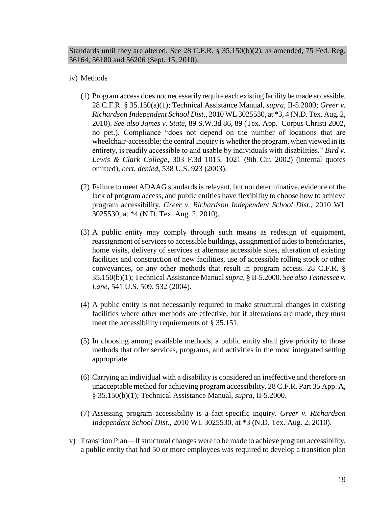Standards until they are altered. See 28 C.F.R. § 35.150(b)(2), as amended, 75 Fed. Reg. 56164, 56180 and 56206 (Sept. 15, 2010).

### iv) Methods

- (1) Program access does not necessarily require each existing facility be made accessible. 28 C.F.R. § 35.150(a)(1); Technical Assistance Manual, *supra*, II-5.2000; *Greer v. Richardson Independent School Dist*., 2010 WL 3025530, at \*3, 4 (N.D. Tex. Aug. 2, 2010). *See also James v. State*, 89 S.W.3d 86, 89 (Tex. App.–Corpus Christi 2002, no pet.). Compliance "does not depend on the number of locations that are wheelchair-accessible; the central inquiry is whether the program, when viewed in its entirety, is readily accessible to and usable by individuals with disabilities." *Bird v*. *Lewis & Clark College*, 303 F.3d 1015, 1021 (9th Cir. 2002) (internal quotes omitted), *cert. denied*, 538 U.S. 923 (2003).
- (2) Failure to meet ADAAG standards is relevant, but not determinative, evidence of the lack of program access, and public entities have flexibility to choose how to achieve program accessibility. *Greer v. Richardson Independent School Dist*., 2010 WL 3025530, at \*4 (N.D. Tex. Aug. 2, 2010).
- (3) A public entity may comply through such means as redesign of equipment, reassignment of services to accessible buildings, assignment of aides to beneficiaries, home visits, delivery of services at alternate accessible sites, alteration of existing facilities and construction of new facilities, use of accessible rolling stock or other conveyances, or any other methods that result in program access. 28 C.F.R. § 35.150(b)(1); Technical Assistance Manual *supra*, § II-5.2000. *See also Tennessee v. Lane*, 541 U.S. 509, 532 (2004).
- (4) A public entity is not necessarily required to make structural changes in existing facilities where other methods are effective, but if alterations are made, they must meet the accessibility requirements of § 35.151.
- (5) In choosing among available methods, a public entity shall give priority to those methods that offer services, programs, and activities in the most integrated setting appropriate.
- (6) Carrying an individual with a disability is considered an ineffective and therefore an unacceptable method for achieving program accessibility. 28 C.F.R. Part 35 App. A, § 35.150(b)(1); Technical Assistance Manual, *supra*, II-5.2000.
- (7) Assessing program accessibility is a fact-specific inquiry. *Greer v. Richardson Independent School Dist*., 2010 WL 3025530, at \*3 (N.D. Tex. Aug. 2, 2010).
- v) Transition Plan—If structural changes were to be made to achieve program accessibility, a public entity that had 50 or more employees was required to develop a transition plan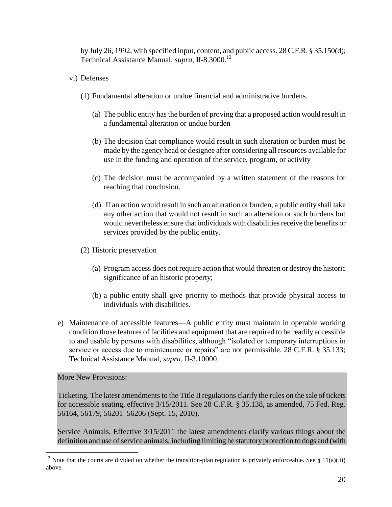by July 26, 1992, with specified input, content, and public access. 28 C.F.R. § 35.150(d); Technical Assistance Manual, *supra*, II-8.3000. 12

- vi) Defenses
	- (1) Fundamental alteration or undue financial and administrative burdens.
		- (a) The public entity has the burden of proving that a proposed action would result in a fundamental alteration or undue burden
		- (b) The decision that compliance would result in such alteration or burden must be made by the agency head or designee after considering all resources available for use in the funding and operation of the service, program, or activity
		- (c) The decision must be accompanied by a written statement of the reasons for reaching that conclusion.
		- (d) If an action would result in such an alteration or burden, a public entity shall take any other action that would not result in such an alteration or such burdens but would nevertheless ensure that individuals with disabilities receive the benefits or services provided by the public entity.
	- (2) Historic preservation
		- (a) Program access does not require action that would threaten or destroy the historic significance of an historic property;
		- (b) a public entity shall give priority to methods that provide physical access to individuals with disabilities.
- e) Maintenance of accessible features—A public entity must maintain in operable working condition those features of facilities and equipment that are required to be readily accessible to and usable by persons with disabilities, although "isolated or temporary interruptions in service or access due to maintenance or repairs" are not permissible. 28 C.F.R. § 35.133; Technical Assistance Manual, *supra*, II-3.10000.

#### More New Provisions:

 $\overline{a}$ 

Ticketing. The latest amendments to the Title II regulations clarify the rules on the sale of tickets for accessible seating, effective 3/15/2011. See 28 C.F.R. § 35.138, as amended, 75 Fed. Reg. 56164, 56179, 56201–56206 (Sept. 15, 2010).

Service Animals. Effective 3/15/2011 the latest amendments clarify various things about the definition and use of service animals, including limiting he statutory protection to dogs and (with

<sup>&</sup>lt;sup>12</sup> Note that the courts are divided on whether the transition-plan regulation is privately enforceable. See § 11(a)(iii) above.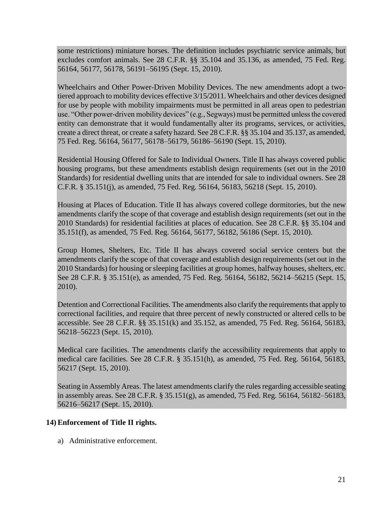some restrictions) miniature horses. The definition includes psychiatric service animals, but excludes comfort animals. See 28 C.F.R. §§ 35.104 and 35.136, as amended, 75 Fed. Reg. 56164, 56177, 56178, 56191–56195 (Sept. 15, 2010).

Wheelchairs and Other Power-Driven Mobility Devices. The new amendments adopt a twotiered approach to mobility devices effective 3/15/2011. Wheelchairs and other devices designed for use by people with mobility impairments must be permitted in all areas open to pedestrian use. "Other power-driven mobility devices" (e.g., Segways) must be permitted unless the covered entity can demonstrate that it would fundamentally alter its programs, services, or activities, create a direct threat, or create a safety hazard. See 28 C.F.R. §§ 35.104 and 35.137, as amended, 75 Fed. Reg. 56164, 56177, 56178–56179, 56186–56190 (Sept. 15, 2010).

Residential Housing Offered for Sale to Individual Owners. Title II has always covered public housing programs, but these amendments establish design requirements (set out in the 2010 Standards) for residential dwelling units that are intended for sale to individual owners. See 28 C.F.R. § 35.151(j), as amended, 75 Fed. Reg. 56164, 56183, 56218 (Sept. 15, 2010).

Housing at Places of Education. Title II has always covered college dormitories, but the new amendments clarify the scope of that coverage and establish design requirements (set out in the 2010 Standards) for residential facilities at places of education. See 28 C.F.R. §§ 35.104 and 35.151(f), as amended, 75 Fed. Reg. 56164, 56177, 56182, 56186 (Sept. 15, 2010).

Group Homes, Shelters, Etc. Title II has always covered social service centers but the amendments clarify the scope of that coverage and establish design requirements (set out in the 2010 Standards) for housing or sleeping facilities at group homes, halfway houses, shelters, etc. See 28 C.F.R. § 35.151(e), as amended, 75 Fed. Reg. 56164, 56182, 56214–56215 (Sept. 15, 2010).

Detention and Correctional Facilities. The amendments also clarify the requirements that apply to correctional facilities, and require that three percent of newly constructed or altered cells to be accessible. See 28 C.F.R. §§ 35.151(k) and 35.152, as amended, 75 Fed. Reg. 56164, 56183, 56218–56223 (Sept. 15, 2010).

Medical care facilities. The amendments clarify the accessibility requirements that apply to medical care facilities. See 28 C.F.R. § 35.151(h), as amended, 75 Fed. Reg. 56164, 56183, 56217 (Sept. 15, 2010).

Seating in Assembly Areas. The latest amendments clarify the rules regarding accessible seating in assembly areas. See 28 C.F.R. § 35.151(g), as amended, 75 Fed. Reg. 56164, 56182–56183, 56216–56217 (Sept. 15, 2010).

# **14) Enforcement of Title II rights.**

a) Administrative enforcement.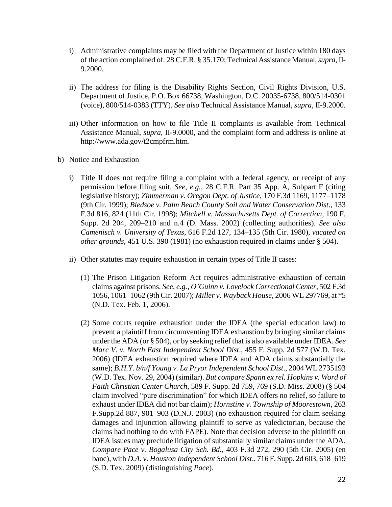- i) Administrative complaints may be filed with the Department of Justice within 180 days of the action complained of. 28 C.F.R. § 35.170; Technical Assistance Manual, *supra*, II-9.2000.
- ii) The address for filing is the Disability Rights Section, Civil Rights Division, U.S. Department of Justice, P.O. Box 66738, Washington, D.C. 20035-6738, 800/514-0301 (voice), 800/514-0383 (TTY). *See also* Technical Assistance Manual, *supra*, II-9.2000.
- iii) Other information on how to file Title II complaints is available from Technical Assistance Manual, *supra*, II-9.0000, and the complaint form and address is online at http://www.ada.gov/t2cmpfrm.htm.
- b) Notice and Exhaustion
	- i) Title II does not require filing a complaint with a federal agency, or receipt of any permission before filing suit. *See, e.g.,* 28 C.F.R. Part 35 App. A, Subpart F (citing legislative history); *Zimmerman v. Oregon Dept. of Justice*, 170 F.3d 1169, 1177–1178 (9th Cir. 1999); *Bledsoe v. Palm Beach County Soil and Water Conservation Dist*., 133 F.3d 816, 824 (11th Cir. 1998); *Mitchell v. Massachusetts Dept. of Correction*, 190 F. Supp. 2d 204, 209–210 and n.4 (D. Mass. 2002) (collecting authorities). *See also Camenisch v. University of Texas*, 616 F.2d 127, 134–135 (5th Cir. 1980), *vacated on other grounds*, 451 U.S. 390 (1981) (no exhaustion required in claims under § 504).
	- ii) Other statutes may require exhaustion in certain types of Title II cases:
		- (1) The Prison Litigation Reform Act requires administrative exhaustion of certain claims against prisons. *See, e.g., O'Guinn v. Lovelock Correctional Center*, 502 F.3d 1056, 1061–1062 (9th Cir. 2007); *Miller v. Wayback House*, 2006 WL 297769, at \*5 (N.D. Tex. Feb. 1, 2006).
		- (2) Some courts require exhaustion under the IDEA (the special education law) to prevent a plaintiff from circumventing IDEA exhaustion by bringing similar claims under the ADA (or § 504), or by seeking relief that is also available under IDEA. *See Marc V. v. North East Independent School Dist*., 455 F. Supp. 2d 577 (W.D. Tex. 2006) (IDEA exhaustion required where IDEA and ADA claims substantially the same); *B.H.Y. b/n/f Young v. La Pryor Independent School Dist*., 2004 WL 2735193 (W.D. Tex. Nov. 29, 2004) (similar). *But compare Spann ex rel. Hopkins v. Word of Faith Christian Center Church*, 589 F. Supp. 2d 759, 769 (S.D. Miss. 2008) (§ 504 claim involved "pure discrimination" for which IDEA offers no relief, so failure to exhaust under IDEA did not bar claim); *Hornstine v. Township of Moorestown*, 263 F.Supp.2d 887, 901–903 (D.N.J. 2003) (no exhaustion required for claim seeking damages and injunction allowing plaintiff to serve as valedictorian, because the claims had nothing to do with FAPE). Note that decision adverse to the plaintiff on IDEA issues may preclude litigation of substantially similar claims under the ADA. *Compare Pace v. Bogalusa City Sch. Bd.*, 403 F.3d 272, 290 (5th Cir. 2005) (en banc), with *D.A. v. Houston Independent School Dist*., 716 F. Supp. 2d 603, 618–619 (S.D. Tex. 2009) (distinguishing *Pace*).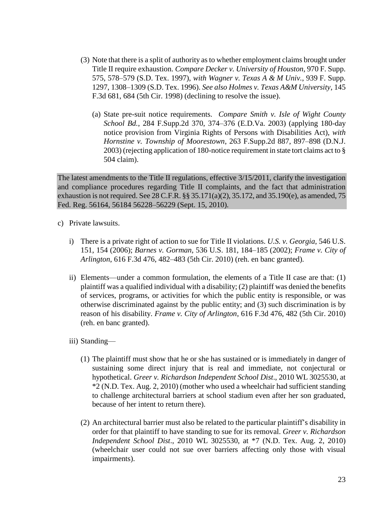- (3) Note that there is a split of authority as to whether employment claims brought under Title II require exhaustion. *Compare Decker v. University of Houston*, 970 F. Supp. 575, 578–579 (S.D. Tex. 1997), *with Wagner v. Texas A & M Univ.*, 939 F. Supp. 1297, 1308–1309 (S.D. Tex. 1996). *See also Holmes v. Texas A&M University*, 145 F.3d 681, 684 (5th Cir. 1998) (declining to resolve the issue).
	- (a) State pre-suit notice requirements. *Compare Smith v. Isle of Wight County School Bd.*, 284 F.Supp.2d 370, 374–376 (E.D.Va. 2003) (applying 180-day notice provision from Virginia Rights of Persons with Disabilities Act), *with Hornstine v. Township of Moorestown*, 263 F.Supp.2d 887, 897–898 (D.N.J. 2003) (rejecting application of 180-notice requirement in state tort claims act to § 504 claim).

The latest amendments to the Title II regulations, effective 3/15/2011, clarify the investigation and compliance procedures regarding Title II complaints, and the fact that administration exhaustion is not required. See 28 C.F.R. §§ 35.171(a)(2), 35.172, and 35.190(e), as amended, 75 Fed. Reg. 56164, 56184 56228–56229 (Sept. 15, 2010).

- c) Private lawsuits.
	- i) There is a private right of action to sue for Title II violations. *U.S. v. Georgia*, 546 U.S. 151, 154 (2006); *Barnes v. Gorman*, 536 U.S. 181, 184–185 (2002); *Frame v. City of Arlington*, 616 F.3d 476, 482–483 (5th Cir. 2010) (reh. en banc granted).
	- ii) Elements—under a common formulation, the elements of a Title II case are that:  $(1)$ plaintiff was a qualified individual with a disability; (2) plaintiff was denied the benefits of services, programs, or activities for which the public entity is responsible, or was otherwise discriminated against by the public entity; and (3) such discrimination is by reason of his disability. *Frame v. City of Arlington*, 616 F.3d 476, 482 (5th Cir. 2010) (reh. en banc granted).
	- iii) Standing—
		- (1) The plaintiff must show that he or she has sustained or is immediately in danger of sustaining some direct injury that is real and immediate, not conjectural or hypothetical. *Greer v. Richardson Independent School Dist*., 2010 WL 3025530, at \*2 (N.D. Tex. Aug. 2, 2010) (mother who used a wheelchair had sufficient standing to challenge architectural barriers at school stadium even after her son graduated, because of her intent to return there).
		- (2) An architectural barrier must also be related to the particular plaintiff's disability in order for that plaintiff to have standing to sue for its removal. *Greer v. Richardson Independent School Dist*., 2010 WL 3025530, at \*7 (N.D. Tex. Aug. 2, 2010) (wheelchair user could not sue over barriers affecting only those with visual impairments).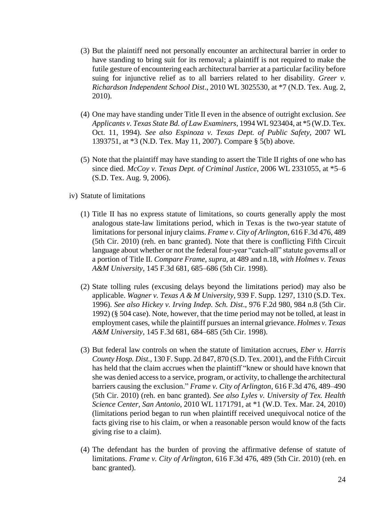- (3) But the plaintiff need not personally encounter an architectural barrier in order to have standing to bring suit for its removal; a plaintiff is not required to make the futile gesture of encountering each architectural barrier at a particular facility before suing for injunctive relief as to all barriers related to her disability. *Greer v. Richardson Independent School Dist*., 2010 WL 3025530, at \*7 (N.D. Tex. Aug. 2, 2010).
- (4) One may have standing under Title II even in the absence of outright exclusion. *See Applicants v. Texas State Bd. of Law Examiners*, 1994 WL 923404, at \*5 (W.D. Tex. Oct. 11, 1994). *See also Espinoza v. Texas Dept. of Public Safety*, 2007 WL 1393751, at \*3 (N.D. Tex. May 11, 2007). Compare § 5(b) above.
- (5) Note that the plaintiff may have standing to assert the Title II rights of one who has since died. *McCoy v. Texas Dept. of Criminal Justice*, 2006 WL 2331055, at \*5–6 (S.D. Tex. Aug. 9, 2006).
- iv) Statute of limitations
	- (1) Title II has no express statute of limitations, so courts generally apply the most analogous state-law limitations period, which in Texas is the two-year statute of limitations for personal injury claims. *Frame v. City of Arlington*, 616 F.3d 476, 489 (5th Cir. 2010) (reh. en banc granted). Note that there is conflicting Fifth Circuit language about whether or not the federal four-year "catch-all" statute governs all or a portion of Title II. *Compare Frame*, *supra*, at 489 and n.18, *with Holmes v. Texas A&M University*, 145 F.3d 681, 685–686 (5th Cir. 1998).
	- (2) State tolling rules (excusing delays beyond the limitations period) may also be applicable. *Wagner v. Texas A & M University*, 939 F. Supp. 1297, 1310 (S.D. Tex. 1996). *See also Hickey v. Irving Indep. Sch. Dist*., 976 F.2d 980, 984 n.8 (5th Cir. 1992) (§ 504 case). Note, however, that the time period may not be tolled, at least in employment cases, while the plaintiff pursues an internal grievance. *Holmes v. Texas A&M University*, 145 F.3d 681, 684–685 (5th Cir. 1998).
	- (3) But federal law controls on when the statute of limitation accrues, *Eber v. Harris County Hosp. Dist.*, 130 F. Supp. 2d 847, 870 (S.D. Tex. 2001), and the Fifth Circuit has held that the claim accrues when the plaintiff "knew or should have known that she was denied access to a service, program, or activity, to challenge the architectural barriers causing the exclusion." *Frame v. City of Arlington*, 616 F.3d 476, 489–490 (5th Cir. 2010) (reh. en banc granted). *See also Lyles v. University of Tex. Health Science Center, San Antonio*, 2010 WL 1171791, at \*1 (W.D. Tex. Mar. 24, 2010) (limitations period began to run when plaintiff received unequivocal notice of the facts giving rise to his claim, or when a reasonable person would know of the facts giving rise to a claim).
	- (4) The defendant has the burden of proving the affirmative defense of statute of limitations. *Frame v. City of Arlington*, 616 F.3d 476, 489 (5th Cir. 2010) (reh. en banc granted).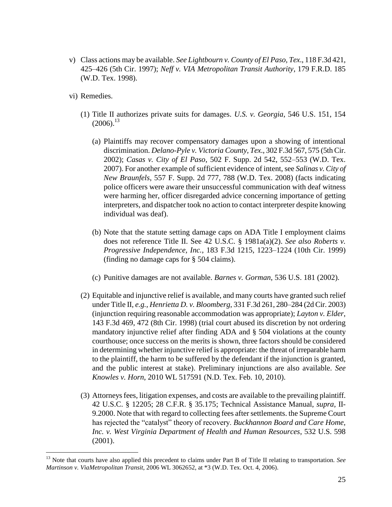- v) Class actions may be available. *See Lightbourn v. County of El Paso, Tex*., 118 F.3d 421, 425–426 (5th Cir. 1997); *Neff v. VIA Metropolitan Transit Authority*, 179 F.R.D. 185 (W.D. Tex. 1998).
- vi) Remedies.

- (1) Title II authorizes private suits for damages. *U.S. v. Georgia*, 546 U.S. 151, 154  $(2006).^{13}$ 
	- (a) Plaintiffs may recover compensatory damages upon a showing of intentional discrimination. *Delano-Pyle v. Victoria County, Tex*., 302 F.3d 567, 575 (5th Cir. 2002); *Casas v. City of El Paso*, 502 F. Supp. 2d 542, 552–553 (W.D. Tex. 2007). For another example of sufficient evidence of intent, see *Salinas v. City of New Braunfels*, 557 F. Supp. 2d 777, 788 (W.D. Tex. 2008) (facts indicating police officers were aware their unsuccessful communication with deaf witness were harming her, officer disregarded advice concerning importance of getting interpreters, and dispatcher took no action to contact interpreter despite knowing individual was deaf).
	- (b) Note that the statute setting damage caps on ADA Title I employment claims does not reference Title II. See 42 U.S.C. § 1981a(a)(2). *See also Roberts v. Progressive Independence, Inc.*, 183 F.3d 1215, 1223–1224 (10th Cir. 1999) (finding no damage caps for § 504 claims).
	- (c) Punitive damages are not available. *Barnes v. Gorman*, 536 U.S. 181 (2002).
- (2) Equitable and injunctive relief is available, and many courts have granted such relief under Title II, *e.g., Henrietta D. v. Bloomberg*, 331 F.3d 261, 280–284 (2d Cir. 2003) (injunction requiring reasonable accommodation was appropriate); *Layton v. Elder*, 143 F.3d 469, 472 (8th Cir. 1998) (trial court abused its discretion by not ordering mandatory injunctive relief after finding ADA and § 504 violations at the county courthouse; once success on the merits is shown, three factors should be considered in determining whether injunctive relief is appropriate: the threat of irreparable harm to the plaintiff, the harm to be suffered by the defendant if the injunction is granted, and the public interest at stake). Preliminary injunctions are also available. *See Knowles v. Horn*, 2010 WL 517591 (N.D. Tex. Feb. 10, 2010).
- (3) Attorneys fees, litigation expenses, and costs are available to the prevailing plaintiff. 42 U.S.C. § 12205; 28 C.F.R. § 35.175; Technical Assistance Manual, *supra*, II-9.2000. Note that with regard to collecting fees after settlements. the Supreme Court has rejected the "catalyst" theory of recovery. *Buckhannon Board and Care Home*, *Inc. v. West Virginia Department of Health and Human Resources*, 532 U.S. 598 (2001).

<sup>13</sup> Note that courts have also applied this precedent to claims under Part B of Title II relating to transportation. *See Martinson v. ViaMetropolitan Transit*, 2006 WL 3062652, at \*3 (W.D. Tex. Oct. 4, 2006).